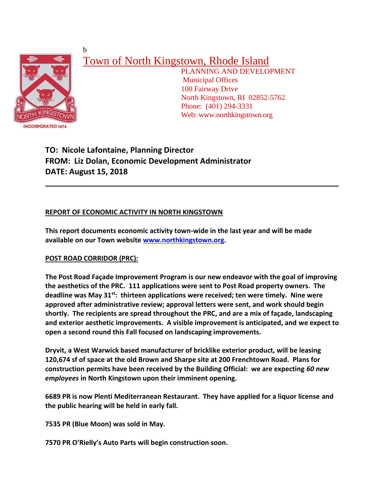

b

# Town of North Kingstown, Rhode Island

 PLANNING AND DEVELOPMENT Municipal Offices 100 Fairway Drive North Kingstown, RI 02852-5762 Phone: (401) 294-3331 Web: www.northkingstown.org

## **TO: Nicole Lafontaine, Planning Director FROM: Liz Dolan, Economic Development Administrator DATE: August 15, 2018**

### **REPORT OF ECONOMIC ACTIVITY IN NORTH KINGSTOWN**

**This report documents economic activity town-wide in the last year and will be made available on our Town website [www.northkingstown.org.](http://www.northkingstown.org/)**

**\_\_\_\_\_\_\_\_\_\_\_\_\_\_\_\_\_\_\_\_\_\_\_\_\_\_\_\_\_\_\_\_\_\_\_\_\_\_\_\_\_\_\_\_\_\_\_\_\_\_\_\_\_\_\_\_\_\_\_\_\_\_\_\_\_\_\_**

#### **POST ROAD CORRIDOR (PRC):**

**The Post Road Façade Improvement Program is our new endeavor with the goal of improving the aesthetics of the PRC. 111 applications were sent to Post Road property owners. The deadline was May 31st: thirteen applications were received; ten were timely. Nine were approved after administrative review; approval letters were sent, and work should begin shortly. The recipients are spread throughout the PRC, and are a mix of façade, landscaping and exterior aesthetic improvements. A visible improvement is anticipated, and we expect to open a second round this Fall focused on landscaping improvements.**

**Dryvit, a West Warwick based manufacturer of bricklike exterior product, will be leasing 120,674 sf of space at the old Brown and Sharpe site at 200 Frenchtown Road. Plans for construction permits have been received by the Building Official: we are expecting** *60 new employees* **in North Kingstown upon their imminent opening.**

**6689 PR is now Plenti Mediterranean Restaurant. They have applied for a liquor license and the public hearing will be held in early fall.**

**7535 PR (Blue Moon) was sold in May.**

**7570 PR O'Rielly's Auto Parts will begin construction soon.**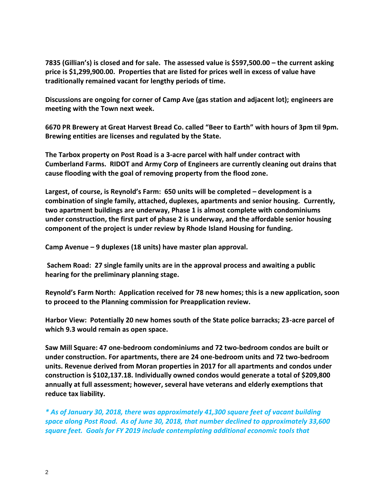**7835 (Gillian's) is closed and for sale. The assessed value is \$597,500.00 – the current asking price is \$1,299,900.00. Properties that are listed for prices well in excess of value have traditionally remained vacant for lengthy periods of time.**

**Discussions are ongoing for corner of Camp Ave (gas station and adjacent lot); engineers are meeting with the Town next week.**

**6670 PR Brewery at Great Harvest Bread Co. called "Beer to Earth" with hours of 3pm til 9pm. Brewing entities are licenses and regulated by the State.**

**The Tarbox property on Post Road is a 3-acre parcel with half under contract with Cumberland Farms. RIDOT and Army Corp of Engineers are currently cleaning out drains that cause flooding with the goal of removing property from the flood zone.** 

**Largest, of course, is Reynold's Farm: 650 units will be completed – development is a combination of single family, attached, duplexes, apartments and senior housing. Currently, two apartment buildings are underway, Phase 1 is almost complete with condominiums under construction, the first part of phase 2 is underway, and the affordable senior housing component of the project is under review by Rhode Island Housing for funding.**

**Camp Avenue – 9 duplexes (18 units) have master plan approval.**

**Sachem Road: 27 single family units are in the approval process and awaiting a public hearing for the preliminary planning stage.**

**Reynold's Farm North: Application received for 78 new homes; this is a new application, soon to proceed to the Planning commission for Preapplication review.**

**Harbor View: Potentially 20 new homes south of the State police barracks; 23-acre parcel of which 9.3 would remain as open space.**

**Saw Mill Square: 47 one-bedroom condominiums and 72 two-bedroom condos are built or under construction. For apartments, there are 24 one-bedroom units and 72 two-bedroom units. Revenue derived from Moran properties in 2017 for all apartments and condos under construction is \$102,137.18. Individually owned condos would generate a total of \$209,800 annually at full assessment; however, several have veterans and elderly exemptions that reduce tax liability.**

*\* As of January 30, 2018, there was approximately 41,300 square feet of vacant building space along Post Road. As of June 30, 2018, that number declined to approximately 33,600 square feet. Goals for FY 2019 include contemplating additional economic tools that*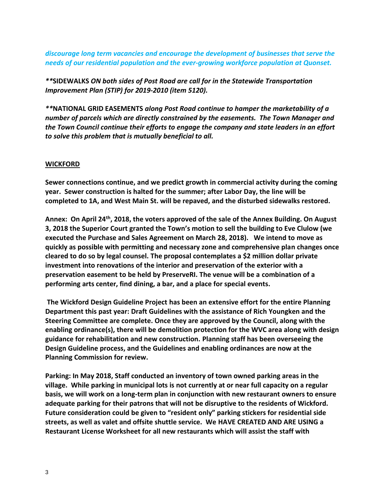*discourage long term vacancies and encourage the development of businesses that serve the needs of our residential population and the ever-growing workforce population at Quonset.*

*\*\****SIDEWALKS** *ON both sides of Post Road are call for in the Statewide Transportation Improvement Plan (STIP) for 2019-2010 (item 5120).*

*\*\****NATIONAL GRID EASEMENTS** *along Post Road continue to hamper the marketability of a number of parcels which are directly constrained by the easements. The Town Manager and the Town Council continue their efforts to engage the company and state leaders in an effort to solve this problem that is mutually beneficial to all.*

#### **WICKFORD**

**Sewer connections continue, and we predict growth in commercial activity during the coming year. Sewer construction is halted for the summer; after Labor Day, the line will be completed to 1A, and West Main St. will be repaved, and the disturbed sidewalks restored.**

**Annex: On April 24th, 2018, the voters approved of the sale of the Annex Building. On August 3, 2018 the Superior Court granted the Town's motion to sell the building to Eve Clulow (we executed the Purchase and Sales Agreement on March 28, 2018). We intend to move as quickly as possible with permitting and necessary zone and comprehensive plan changes once cleared to do so by legal counsel. The proposal contemplates a \$2 million dollar private investment into renovations of the interior and preservation of the exterior with a preservation easement to be held by PreserveRI. The venue will be a combination of a performing arts center, find dining, a bar, and a place for special events.**

**The Wickford Design Guideline Project has been an extensive effort for the entire Planning Department this past year: Draft Guidelines with the assistance of Rich Youngken and the Steering Committee are complete. Once they are approved by the Council, along with the enabling ordinance(s), there will be demolition protection for the WVC area along with design guidance for rehabilitation and new construction. Planning staff has been overseeing the Design Guideline process, and the Guidelines and enabling ordinances are now at the Planning Commission for review.**

**Parking: In May 2018, Staff conducted an inventory of town owned parking areas in the village. While parking in municipal lots is not currently at or near full capacity on a regular basis, we will work on a long-term plan in conjunction with new restaurant owners to ensure adequate parking for their patrons that will not be disruptive to the residents of Wickford. Future consideration could be given to "resident only" parking stickers for residential side streets, as well as valet and offsite shuttle service. We HAVE CREATED AND ARE USING a Restaurant License Worksheet for all new restaurants which will assist the staff with**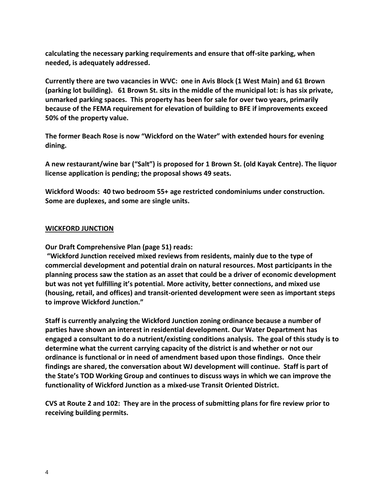**calculating the necessary parking requirements and ensure that off-site parking, when needed, is adequately addressed.**

**Currently there are two vacancies in WVC: one in Avis Block (1 West Main) and 61 Brown (parking lot building). 61 Brown St. sits in the middle of the municipal lot: is has six private, unmarked parking spaces. This property has been for sale for over two years, primarily because of the FEMA requirement for elevation of building to BFE if improvements exceed 50% of the property value.**

**The former Beach Rose is now "Wickford on the Water" with extended hours for evening dining.**

**A new restaurant/wine bar ("Salt") is proposed for 1 Brown St. (old Kayak Centre). The liquor license application is pending; the proposal shows 49 seats.**

**Wickford Woods: 40 two bedroom 55+ age restricted condominiums under construction. Some are duplexes, and some are single units.**

#### **WICKFORD JUNCTION**

**Our Draft Comprehensive Plan (page 51) reads:**

**"Wickford Junction received mixed reviews from residents, mainly due to the type of commercial development and potential drain on natural resources. Most participants in the planning process saw the station as an asset that could be a driver of economic development but was not yet fulfilling it's potential. More activity, better connections, and mixed use (housing, retail, and offices) and transit-oriented development were seen as important steps to improve Wickford Junction."**

**Staff is currently analyzing the Wickford Junction zoning ordinance because a number of parties have shown an interest in residential development. Our Water Department has engaged a consultant to do a nutrient/existing conditions analysis. The goal of this study is to determine what the current carrying capacity of the district is and whether or not our ordinance is functional or in need of amendment based upon those findings. Once their findings are shared, the conversation about WJ development will continue. Staff is part of the State's TOD Working Group and continues to discuss ways in which we can improve the functionality of Wickford Junction as a mixed-use Transit Oriented District.**

**CVS at Route 2 and 102: They are in the process of submitting plans for fire review prior to receiving building permits.**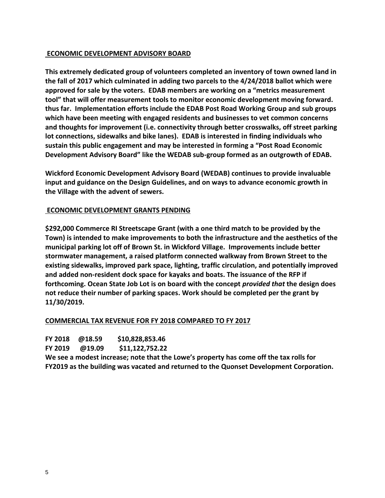#### **ECONOMIC DEVELOPMENT ADVISORY BOARD**

**This extremely dedicated group of volunteers completed an inventory of town owned land in the fall of 2017 which culminated in adding two parcels to the 4/24/2018 ballot which were approved for sale by the voters. EDAB members are working on a "metrics measurement tool" that will offer measurement tools to monitor economic development moving forward. thus far. Implementation efforts include the EDAB Post Road Working Group and sub groups which have been meeting with engaged residents and businesses to vet common concerns and thoughts for improvement (i.e. connectivity through better crosswalks, off street parking lot connections, sidewalks and bike lanes). EDAB is interested in finding individuals who sustain this public engagement and may be interested in forming a "Post Road Economic Development Advisory Board" like the WEDAB sub-group formed as an outgrowth of EDAB.**

**Wickford Economic Development Advisory Board (WEDAB) continues to provide invaluable input and guidance on the Design Guidelines, and on ways to advance economic growth in the Village with the advent of sewers.** 

#### **ECONOMIC DEVELOPMENT GRANTS PENDING**

**\$292,000 Commerce RI Streetscape Grant (with a one third match to be provided by the Town) is intended to make improvements to both the infrastructure and the aesthetics of the municipal parking lot off of Brown St. in Wickford Village. Improvements include better stormwater management, a raised platform connected walkway from Brown Street to the existing sidewalks, improved park space, lighting, traffic circulation, and potentially improved and added non-resident dock space for kayaks and boats. The issuance of the RFP if forthcoming. Ocean State Job Lot is on board with the concept** *provided that* **the design does not reduce their number of parking spaces. Work should be completed per the grant by 11/30/2019.**

#### **COMMERCIAL TAX REVENUE FOR FY 2018 COMPARED TO FY 2017**

| <b>FY 2018</b> | @18.59 | \$10,828,853.46 |
|----------------|--------|-----------------|
| <b>FY 2019</b> | @19.09 | \$11,122,752.22 |

**We see a modest increase; note that the Lowe's property has come off the tax rolls for FY2019 as the building was vacated and returned to the Quonset Development Corporation.**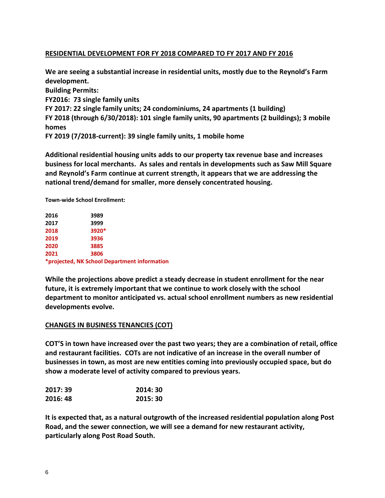#### **RESIDENTIAL DEVELOPMENT FOR FY 2018 COMPARED TO FY 2017 AND FY 2016**

**We are seeing a substantial increase in residential units, mostly due to the Reynold's Farm development. Building Permits: FY2016: 73 single family units FY 2017: 22 single family units; 24 condominiums, 24 apartments (1 building) FY 2018 (through 6/30/2018): 101 single family units, 90 apartments (2 buildings); 3 mobile homes FY 2019 (7/2018-current): 39 single family units, 1 mobile home**

**Additional residential housing units adds to our property tax revenue base and increases business for local merchants. As sales and rentals in developments such as Saw Mill Square and Reynold's Farm continue at current strength, it appears that we are addressing the national trend/demand for smaller, more densely concentrated housing.** 

**Town-wide School Enrollment:**

| 2016 | 3989                                         |  |
|------|----------------------------------------------|--|
| 2017 | 3999                                         |  |
| 2018 | 3920*                                        |  |
| 2019 | 3936                                         |  |
| 2020 | 3885                                         |  |
| 2021 | 3806                                         |  |
|      | *projected, NK School Department information |  |

**While the projections above predict a steady decrease in student enrollment for the near future, it is extremely important that we continue to work closely with the school department to monitor anticipated vs. actual school enrollment numbers as new residential developments evolve.** 

#### **CHANGES IN BUSINESS TENANCIES (COT)**

**COT'S in town have increased over the past two years; they are a combination of retail, office and restaurant facilities. COTs are not indicative of an increase in the overall number of businesses in town, as most are new entities coming into previously occupied space, but do show a moderate level of activity compared to previous years.**

| 2017:39  | 2014: 30 |
|----------|----------|
| 2016: 48 | 2015: 30 |

**It is expected that, as a natural outgrowth of the increased residential population along Post Road, and the sewer connection, we will see a demand for new restaurant activity, particularly along Post Road South.**